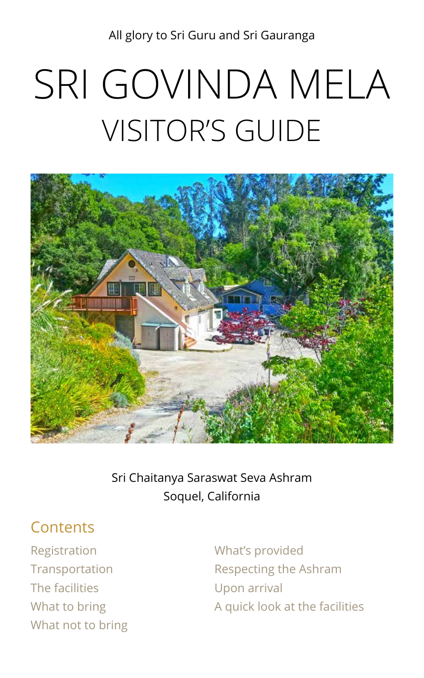All glory to Sri Guru and Sri Gauranga

# SRI GOVINDA MELA VISITOR'S GUIDE



Sri Chaitanya Saraswat Seva Ashram Soquel, California

# **Contents**

[Registration](#page-1-0) [Transportation](#page-2-0) [The facilities](#page-4-0) [What to bring](#page-5-0) [What not to bring](#page-5-1)

[What's provided](#page-6-0) [Respecting the A](#page-7-0)shram [Upon arrival](#page-10-0) [A quick look at the facilities](#page-11-0)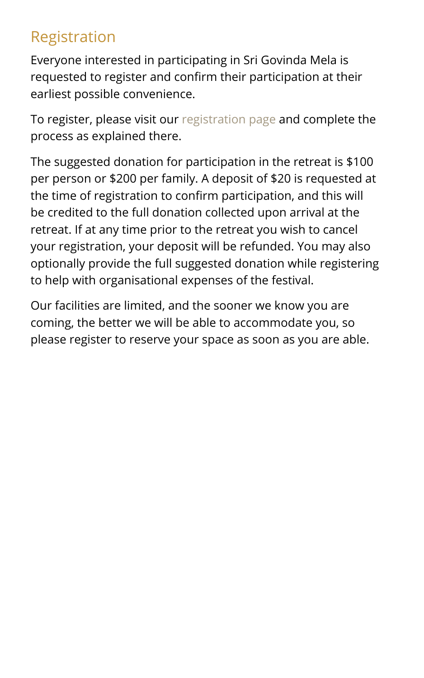# <span id="page-1-0"></span>Registration

Everyone interested in participating in Sri Govinda Mela is requested to register and confirm their participation at their earliest possible convenience.

To register, please visit our [registration page](https://premadharma.org/sri-govinda-mela-registration/) and complete the process as explained there.

The suggested donation for participation in the retreat is \$100 per person or \$200 per family. A deposit of \$20 is requested at the time of registration to confirm participation, and this will be credited to the full donation collected upon arrival at the retreat. If at any time prior to the retreat you wish to cancel your registration, your deposit will be refunded. You may also optionally provide the full suggested donation while registering to help with organisational expenses of the festival.

Our facilities are limited, and the sooner we know you are coming, the better we will be able to accommodate you, so please register to reserve your space as soon as you are able.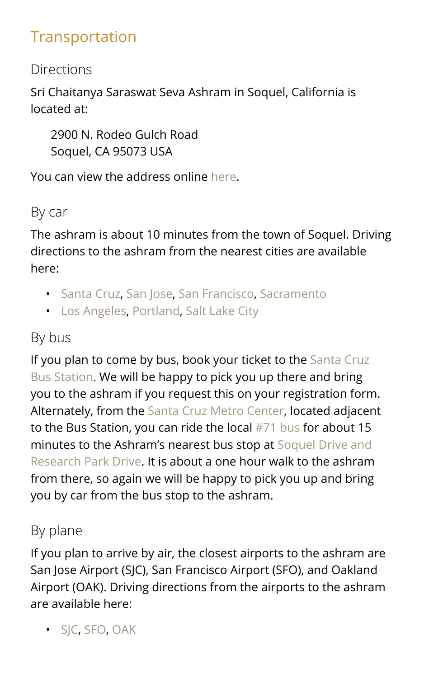# <span id="page-2-0"></span>Transportation

# **Directions**

Sri Chaitanya Saraswat Seva Ashram in Soquel, California is located at:

2900 N. Rodeo Gulch Road Soquel, CA 95073 USA

You can view the address online [here.](https://www.google.com/maps/place/2900%2BN%2BRodeo%2BGulch%2BRd%2C%2BSoquel%2C%2BCA%2B95073/%4037.0006555%2C-121.9954124%2C13z/data%3D%214m5%213m4%211s0x808e3fa7a420f967:0xedb94618c5040969%218m2%213d37.02711%214d-121.961166)

# By car

The ashram is about 10 minutes from the town of Soquel. Driving directions to the ashram from the nearest cities are available here:

- [Santa Cruz](https://www.google.com/maps/dir/Santa%2BCruz%2C%2BCA/2900%2BN%2BRodeo%2BGulch%2BRd%2C%2BSoquel%2C%2BCA%2B95073/%4037.0006084%2C-122.0317598%2C13z/data%3D%213m1%214b1%214m13%214m12%211m5%211m1%211s0x808e441b7c36d549:0x52ca104b2ad7f985%212m2%211d-122.0307963%212d36.9741171%211m5%211m1%211s0x808e3fa7a420f967:0xedb94618c5040969%212m2%211d-121.961166%212d37.02711), [San Jose,](https://www.google.com/maps/dir/San%2BJose%2C%2BCalifornia/2900%2BN%2BRodeo%2BGulch%2BRd%2C%2BSoquel%2C%2BCA%2B95073/%4037.1822506%2C-122.0676972%2C11z/data%3D%213m1%214b1%214m13%214m12%211m5%211m1%211s0x808fcae48af93ff5:0xb99d8c0aca9f717b%212m2%211d-121.8863286%212d37.3382082%211m5%211m1%211s0x808e3fa7a420f967:0xedb94618c5040969%212m2%211d-121.961166%212d37.02711) [San Francisco,](https://www.google.com/maps/dir/San%2BFrancisco%2C%2BCalifornia/2900%2BN%2BRodeo%2BGulch%2BRd%2C%2BSoquel%2C%2BCA%2B95073/%4037.4242047%2C-122.727082%2C9z/data%3D%213m1%214b1%214m13%214m12%211m5%211m1%211s0x80859a6d00690021:0x4a501367f076adff%212m2%211d-122.4194155%212d37.7749295%211m5%211m1%211s0x808e3fa7a420f967:0xedb94618c5040969%212m2%211d-121.961166%212d37.02711) [Sacramento](https://www.google.com/maps/dir/Sacramento%2C%2BCalifornia/2900%2BN%2BRodeo%2BGulch%2BRd%2C%2BSoquel%2C%2BCA%2B95073/%4037.8001558%2C-122.9255398%2C8z/data%3D%213m1%214b1%214m13%214m12%211m5%211m1%211s0x809ac672b28397f9:0x921f6aaa74197fdb%212m2%211d-121.4943996%212d38.5815719%211m5%211m1%211s0x808e3fa7a420f967:0xedb94618c5040969%212m2%211d-121.961166%212d37.02711)
- [Los Angeles](https://www.google.com/maps/dir/Los%2BAngeles%2C%2BCalifornia/2900%2BN%2BRodeo%2BGulch%2BRd%2C%2BSoquel%2C%2BCA%2B95073/%4035.5185393%2C-121.9287844%2C7z/data%3D%213m1%214b1%214m13%214m12%211m5%211m1%211s0x80c2c75ddc27da13:0xe22fdf6f254608f4%212m2%211d-118.2436849%212d34.0522342%211m5%211m1%211s0x808e3fa7a420f967:0xedb94618c5040969%212m2%211d-121.961166%212d37.02711), [Portland](https://www.google.com/maps/dir/Portland%2C%2BOR/2900%2BN%2BRodeo%2BGulch%2BRd%2C%2BSoquel%2C%2BCA%2B95073/%4041.1891444%2C-127.0662593%2C6z/data%3D%213m1%214b1%214m13%214m12%211m5%211m1%211s0x54950b0b7da97427:0x1c36b9e6f6d18591%212m2%211d-122.6764816%212d45.5230622%211m5%211m1%211s0x808e3fa7a420f967:0xedb94618c5040969%212m2%211d-121.961166%212d37.02711), [Salt Lake City](https://www.google.com/maps/dir/Salt%2BLake%2BCity%2C%2BUT/2900%2BN%2BRodeo%2BGulch%2BRd%2C%2BSoquel%2C%2BCA%2B95073/%4038.9835848%2C-121.5059465%2C6z/data%3D%213m1%214b1%214m13%214m12%211m5%211m1%211s0x87523d9488d131ed:0x5b53b7a0484d31ca%212m2%211d-111.8910474%212d40.7607793%211m5%211m1%211s0x808e3fa7a420f967:0xedb94618c5040969%212m2%211d-121.961166%212d37.02711)

# By bus

If you plan to come by bus, book your ticket to the Santa Cruz [Bus Station.](http://locations.greyhound.com/bus-stations/us/california/santa-cruz/bus-station-893442) We will be happy to pick you up there and bring you to the ashram if you request this on your registration form. Alternately, from the [Santa Cruz Metro Center](https://www.google.com/maps/place/Santa%2BCruz%2BMetro%2BCenter/%4036.9708684%2C-122.0265832%2C17z/data%3D%213m1%214b1%214m5%213m4%211s0x808e6a9d7d0e43cf:0xae61bff611e57708%218m2%213d36.9708684%214d-122.0243945), located adjacent to the Bus Station, you can ride the local [#71 bus](http://scmtd.com/en/routes/schedules/systemschedule/71/20173) for about 15 minutes to the Ashram's nearest bus stop at [Soquel Drive and](https://www.google.com/maps/place/Soquel%2BDr%2B%2526%2BResearch%2BPark%2BDr%2C%2BSoquel%2C%2BCA%2B95073/%4036.987364%2C-121.9706222%2C17z/data%3D%213m1%214b1%214m5%213m4%211s0x808e15602321c54d:0xbcca523ae8a3c2d9%218m2%213d36.9873597%214d-121.9684282)  [Research Park Drive.](https://www.google.com/maps/place/Soquel%2BDr%2B%2526%2BResearch%2BPark%2BDr%2C%2BSoquel%2C%2BCA%2B95073/%4036.987364%2C-121.9706222%2C17z/data%3D%213m1%214b1%214m5%213m4%211s0x808e15602321c54d:0xbcca523ae8a3c2d9%218m2%213d36.9873597%214d-121.9684282) It is about a one hour walk to the ashram from there, so again we will be happy to pick you up and bring you by car from the bus stop to the ashram.

# By plane

If you plan to arrive by air, the closest airports to the ashram are San Jose Airport (SJC), San Francisco Airport (SFO), and Oakland Airport (OAK). Driving directions from the airports to the ashram are available here:

• [SJC](https://www.google.com/maps/dir/Norman%2BY.%2BMineta%2BSan%2BJose%2BInternational%2BAirport%2B%28SJC%29%2C%2B1701%2BAirport%2BBlvd%2C%2BSan%2BJose%2C%2BCA%2B95110/41st%2BAve%2C%2BSoquel%2C%2BCA%2B95073/2900%2BNorth%2BRodeo%2BGulch%2BRoad%2C%2BSoquel%2C%2BCA/%4037.0355849%2C-122.0217075%2C12z/data%3D%214m20%214m19%211m5%211m1%211s0x808fcbc3fab3c59b:0xbcfa443f6df67e3e%212m2%211d-121.9289375%212d37.3639472%211m5%211m1%211s0x808e156bf06af06b:0x8753e3de50964295%212m2%211d-121.9649209%212d36.9855867%211m5%211m1%211s0x808e3fa7a420f967:0xedb94618c5040969%212m2%211d-121.961166%212d37.02711%213e0), [SFO](https://www.google.com/maps/dir/San%2BFrancisco%2BAirport%2C%2BSan%2BFrancisco%2C%2BCA/41st%2BAve%2C%2BSoquel%2C%2BCA%2B95073/2900%2BNorth%2BRodeo%2BGulch%2BRoad%2C%2BSoquel%2C%2BCA/%4037.3011506%2C-122.4583375%2C10z/data%3D%213m1%214b1%214m20%214m19%211m5%211m1%211s0x808f778c55555555:0xa4f25c571acded3f%212m2%211d-122.3789554%212d37.6213129%211m5%211m1%211s0x808e156bf06af06b:0x8753e3de50964295%212m2%211d-121.9649209%212d36.9855867%211m5%211m1%211s0x808e3fa7a420f967:0xedb94618c5040969%212m2%211d-121.961166%212d37.02711%213e0), [OAK](https://www.google.com/maps/dir/Oakland%2BInternational%2BAirport%2C%2BAirport%2BDrive%2C%2BOakland%2C%2BCA/41st%2BAve%2C%2BSoquel%2C%2BCA%2B95073/2900%2BNorth%2BRodeo%2BGulch%2BRoad%2C%2BSoquel%2C%2BCA/%4037.35508%2C-122.6209293%2C9z/data%3D%213m1%214b1%214m20%214m19%211m5%211m1%211s0x808f845402c0a641:0xb0630c0f03017460%212m2%211d-122.2197428%212d37.7125689%211m5%211m1%211s0x808e156bf06af06b:0x8753e3de50964295%212m2%211d-121.9649209%212d36.9855867%211m5%211m1%211s0x808e3fa7a420f967:0xedb94618c5040969%212m2%211d-121.961166%212d37.02711%213e0)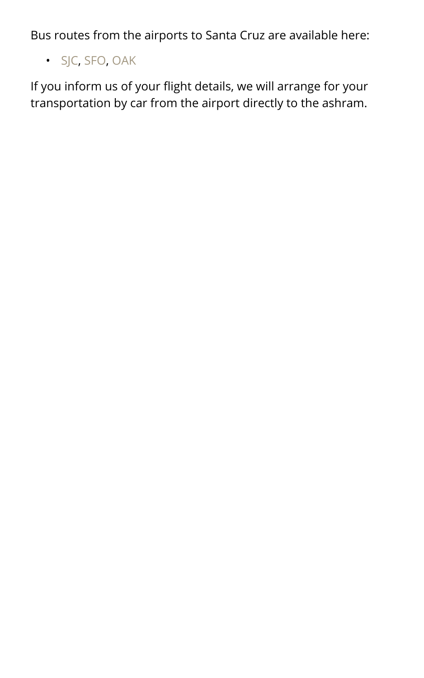Bus routes from the airports to Santa Cruz are available here:

• [SJC](https://www.google.com/maps/dir/Norman%2BY.%2BMineta%2BSan%2BJose%2BInternational%2BAirport%2C%2B1701%2BAirport%2BBlvd%2C%2BSan%2BJose%2C%2BCA%2B95110/Santa%2BCruz%2C%2BCalifornia/%4037.1708351%2C-122.2400396%2C10z/data%3D%213m1%214b1%214m19%214m18%211m5%211m1%211s0x808fcbc3fab3c59b:0xbcfa443f6df67e3e%212m2%211d-121.9289375%212d37.3639472%211m5%211m1%211s0x808e441b7c36d549:0x52ca104b2ad7f985%212m2%211d-122.0307963%212d36.9741171%212m4%215e0%215e1%215e3%218j1495038813%213e3), [SFO](https://www.google.com/maps/dir/SFO%2BInternational%2BTerminal%2BMain%2BHall%2C%2BSouth%2BAirport%2BBlvd%2C%2BSan%2BFrancisco%2C%2BCA/Santa%2BCruz%2C%2BCalifornia/%4037.3889429%2C-122.7400298%2C9z/data%3D%213m1%214b1%214m19%214m18%211m5%211m1%211s0x808f779765edf6b9:0xbb6145824a536895%212m2%211d-122.3895014%212d37.6155067%211m5%211m1%211s0x808e441b7c36d549:0x52ca104b2ad7f985%212m2%211d-122.0307963%212d36.9741171%212m4%215e0%215e1%215e3%218j1495038813%213e3), [OAK](https://www.google.com/maps/dir/Oakland%2BInternational%2BAirport%2C%2BAirport%2BDrive%2C%2BOakland%2C%2BCA/Santa%2BCruz%2C%2BCalifornia/%4037.3716781%2C-122.6305013%2C9z/data%3D%214m19%214m18%211m5%211m1%211s0x808f845402c0a641:0xb0630c0f03017460%212m2%211d-122.2197428%212d37.7125689%211m5%211m1%211s0x808e441b7c36d549:0x52ca104b2ad7f985%212m2%211d-122.0307963%212d36.9741171%212m4%215e0%215e1%215e3%218j1495038813%213e3)

If you inform us of your flight details, we will arrange for your transportation by car from the airport directly to the ashram.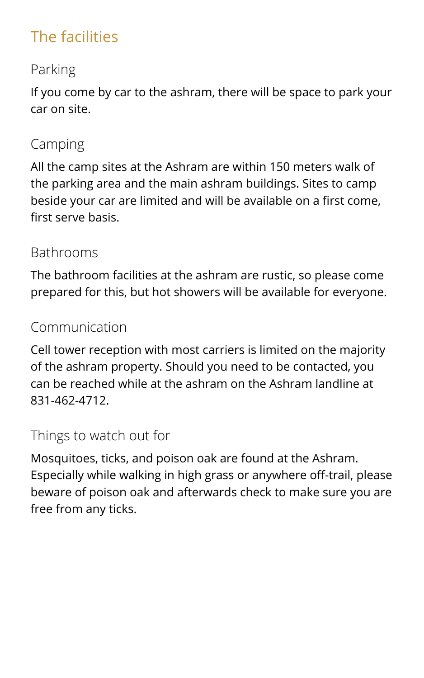# <span id="page-4-0"></span>The facilities

# Parking

If you come by car to the ashram, there will be space to park your car on site.

# Camping

All the camp sites at the Ashram are within 150 meters walk of the parking area and the main ashram buildings. Sites to camp beside your car are limited and will be available on a first come, first serve basis.

#### Bathrooms

The bathroom facilities at the ashram are rustic, so please come prepared for this, but hot showers will be available for everyone.

# Communication

Cell tower reception with most carriers is limited on the majority of the ashram property. Should you need to be contacted, you can be reached while at the ashram on the Ashram landline at 831-462-4712.

# Things to watch out for

Mosquitoes, ticks, and poison oak are found at the Ashram. Especially while walking in high grass or anywhere off-trail, please beware of poison oak and afterwards check to make sure you are free from any ticks.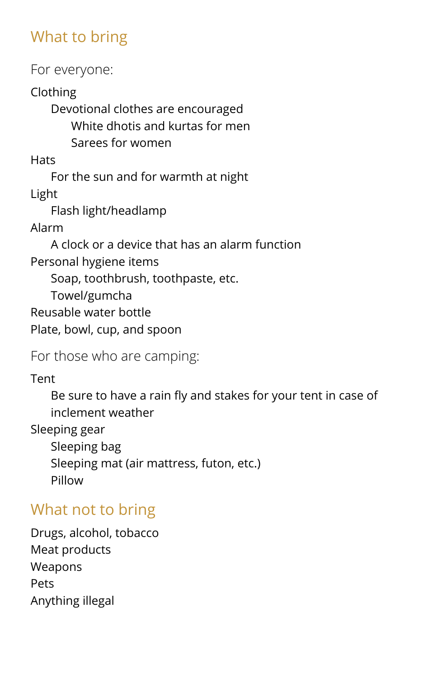# <span id="page-5-0"></span>What to bring

For everyone:

Clothing

Devotional clothes are encouraged White dhotis and kurtas for men Sarees for women

**Hats** 

For the sun and for warmth at night Light

Flash light/headlamp

Alarm

A clock or a device that has an alarm function Personal hygiene items

Soap, toothbrush, toothpaste, etc.

Towel/gumcha

Reusable water bottle

Plate, bowl, cup, and spoon

For those who are camping:

Tent

Be sure to have a rain fly and stakes for your tent in case of inclement weather

Sleeping gear

Sleeping bag Sleeping mat (air mattress, futon, etc.) Pillow

# <span id="page-5-1"></span>What not to bring

Drugs, alcohol, tobacco Meat products Weapons Pets Anything illegal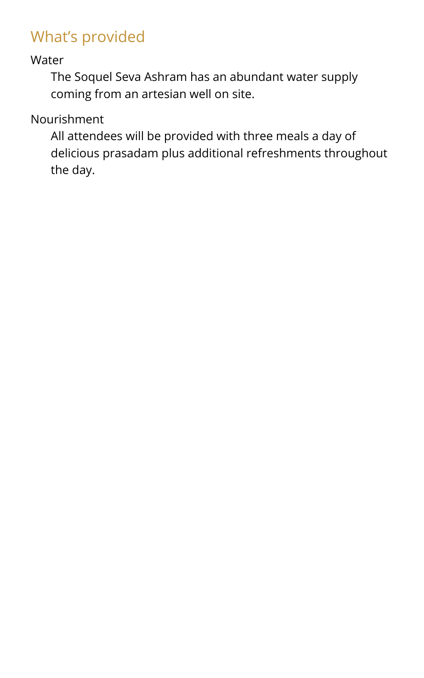# <span id="page-6-0"></span>What's provided

Water

The Soquel Seva Ashram has an abundant water supply coming from an artesian well on site.

Nourishment

All attendees will be provided with three meals a day of delicious prasadam plus additional refreshments throughout the day.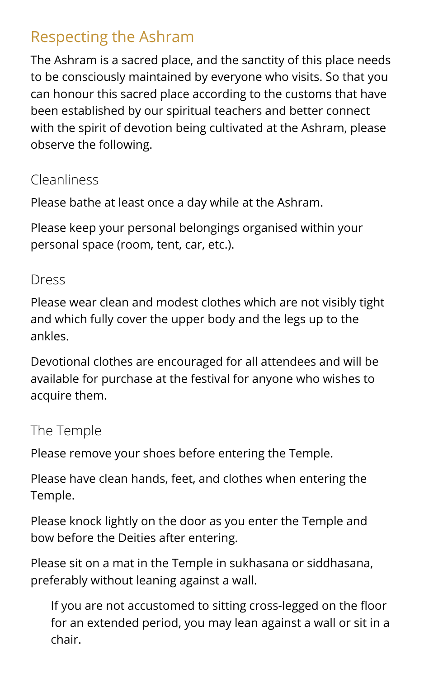# <span id="page-7-0"></span>Respecting the Ashram

The Ashram is a sacred place, and the sanctity of this place needs to be consciously maintained by everyone who visits. So that you can honour this sacred place according to the customs that have been established by our spiritual teachers and better connect with the spirit of devotion being cultivated at the Ashram, please observe the following.

# Cleanliness

Please bathe at least once a day while at the Ashram.

Please keep your personal belongings organised within your personal space (room, tent, car, etc.).

#### Dress

Please wear clean and modest clothes which are not visibly tight and which fully cover the upper body and the legs up to the ankles.

Devotional clothes are encouraged for all attendees and will be available for purchase at the festival for anyone who wishes to acquire them.

# The Temple

Please remove your shoes before entering the Temple.

Please have clean hands, feet, and clothes when entering the Temple.

Please knock lightly on the door as you enter the Temple and bow before the Deities after entering.

Please sit on a mat in the Temple in sukhasana or siddhasana, preferably without leaning against a wall.

If you are not accustomed to sitting cross-legged on the floor for an extended period, you may lean against a wall or sit in a chair.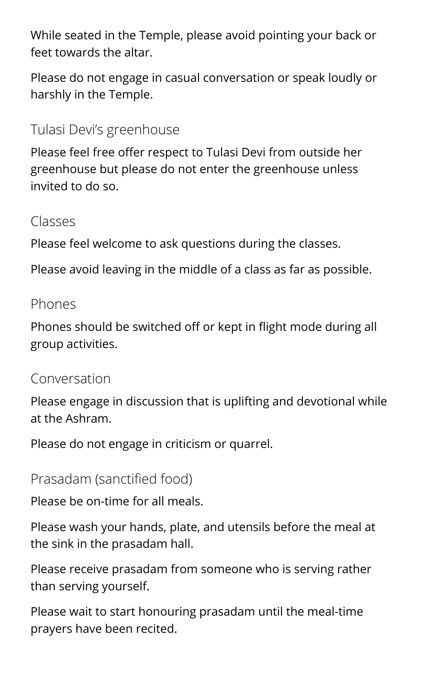While seated in the Temple, please avoid pointing your back or feet towards the altar.

Please do not engage in casual conversation or speak loudly or harshly in the Temple.

Tulasi Devi's greenhouse

Please feel free offer respect to Tulasi Devi from outside her greenhouse but please do not enter the greenhouse unless invited to do so.

Classes

Please feel welcome to ask questions during the classes.

Please avoid leaving in the middle of a class as far as possible.

#### Phones

Phones should be switched off or kept in flight mode during all group activities.

# Conversation

Please engage in discussion that is uplifting and devotional while at the Ashram.

Please do not engage in criticism or quarrel.

#### Prasadam (sanctified food)

Please be on-time for all meals.

Please wash your hands, plate, and utensils before the meal at the sink in the prasadam hall.

Please receive prasadam from someone who is serving rather than serving yourself.

Please wait to start honouring prasadam until the meal-time prayers have been recited.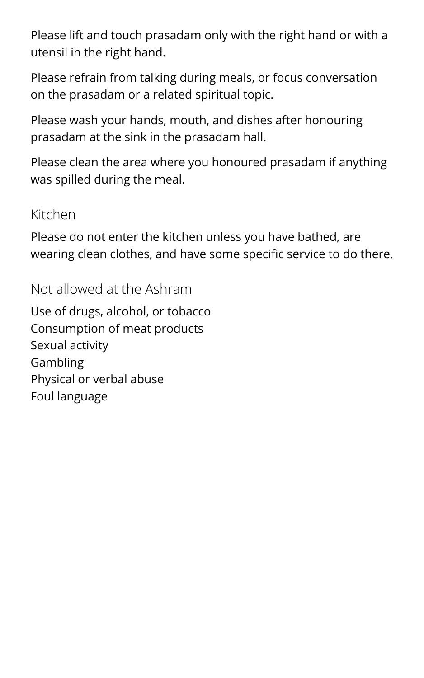Please lift and touch prasadam only with the right hand or with a utensil in the right hand.

Please refrain from talking during meals, or focus conversation on the prasadam or a related spiritual topic.

Please wash your hands, mouth, and dishes after honouring prasadam at the sink in the prasadam hall.

Please clean the area where you honoured prasadam if anything was spilled during the meal.

#### Kitchen

Please do not enter the kitchen unless you have bathed, are wearing clean clothes, and have some specific service to do there.

Not allowed at the Ashram

Use of drugs, alcohol, or tobacco Consumption of meat products Sexual activity Gambling Physical or verbal abuse Foul language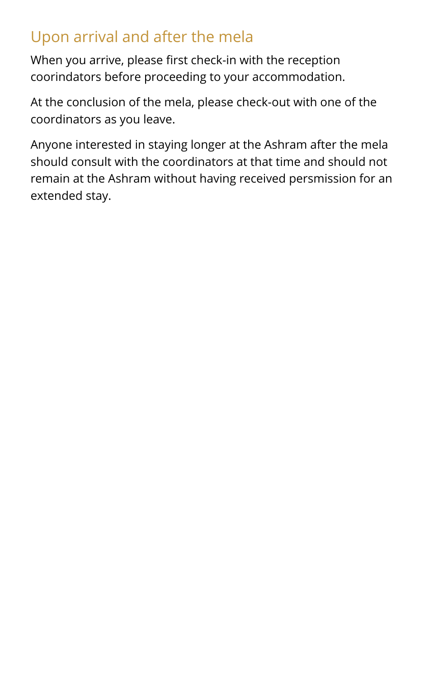# <span id="page-10-0"></span>Upon arrival and after the mela

When you arrive, please first check-in with the reception coorindators before proceeding to your accommodation.

At the conclusion of the mela, please check-out with one of the coordinators as you leave.

Anyone interested in staying longer at the Ashram after the mela should consult with the coordinators at that time and should not remain at the Ashram without having received persmission for an extended stay.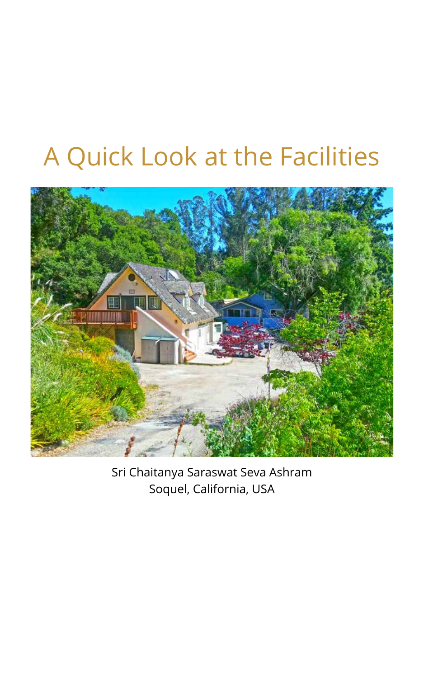# <span id="page-11-0"></span>A Quick Look at the Facilities



Sri Chaitanya Saraswat Seva Ashram Soquel, California, USA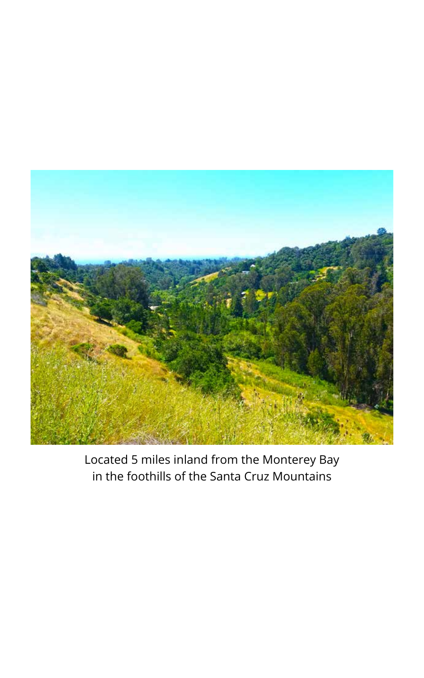

Located 5 miles inland from the Monterey Bay in the foothills of the Santa Cruz Mountains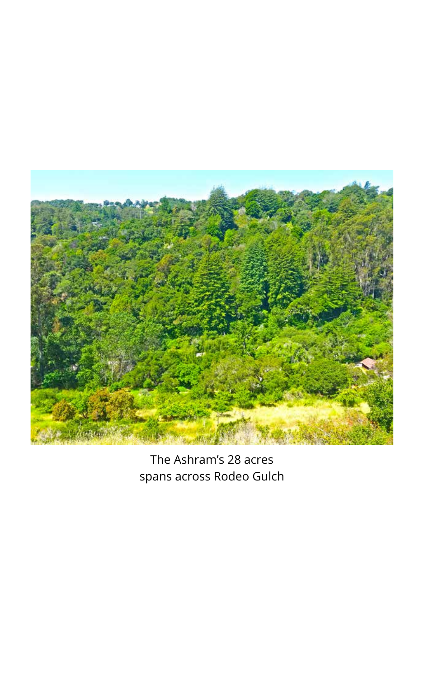

The Ashram's 28 acres spans across Rodeo Gulch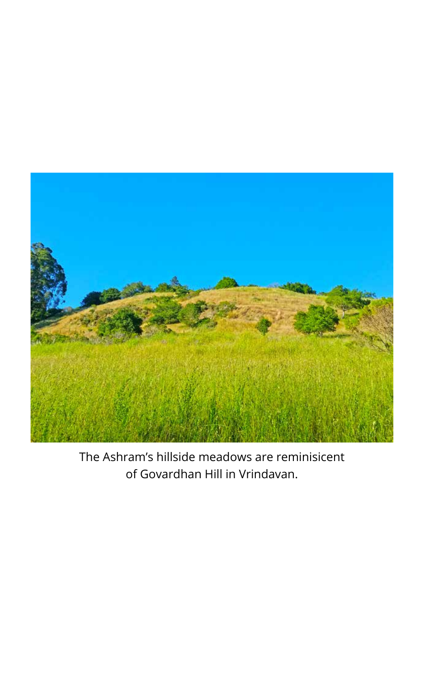

The Ashram's hillside meadows are reminisicent of Govardhan Hill in Vrindavan.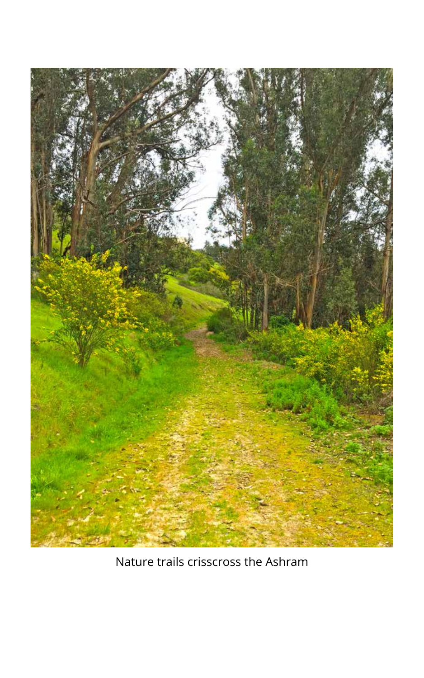

Nature trails crisscross the Ashram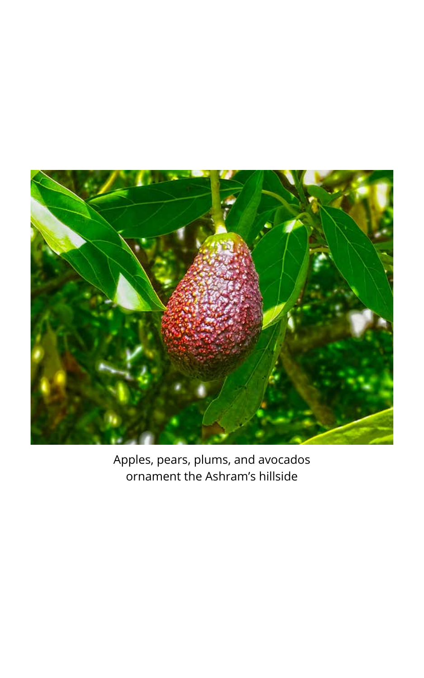

Apples, pears, plums, and avocados ornament the Ashram's hillside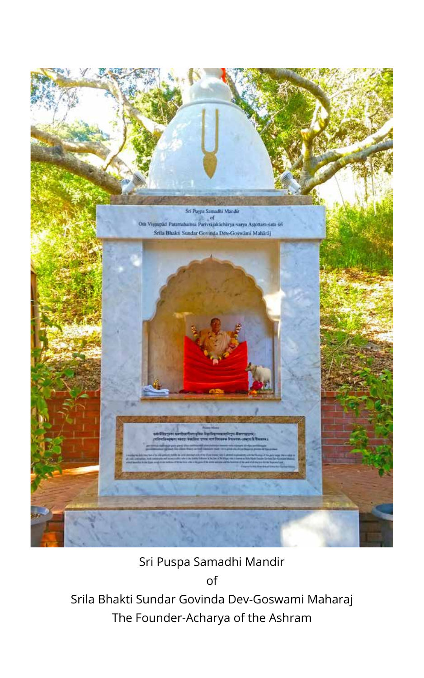

Sri Puspa Samadhi Mandir

of

Srila Bhakti Sundar Govinda Dev-Goswami Maharaj The Founder-Acharya of the Ashram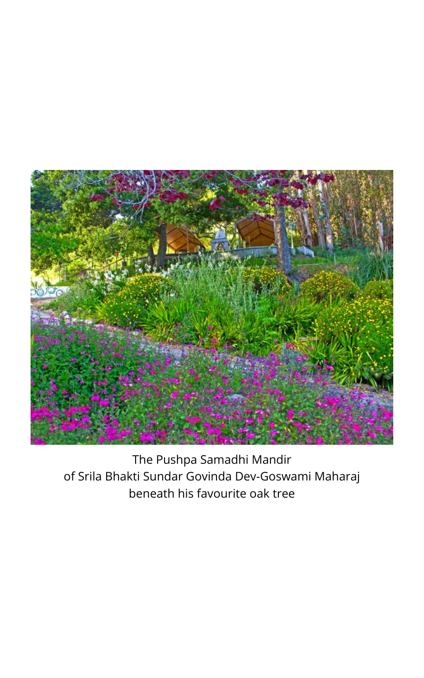

The Pushpa Samadhi Mandir of Srila Bhakti Sundar Govinda Dev-Goswami Maharaj beneath his favourite oak tree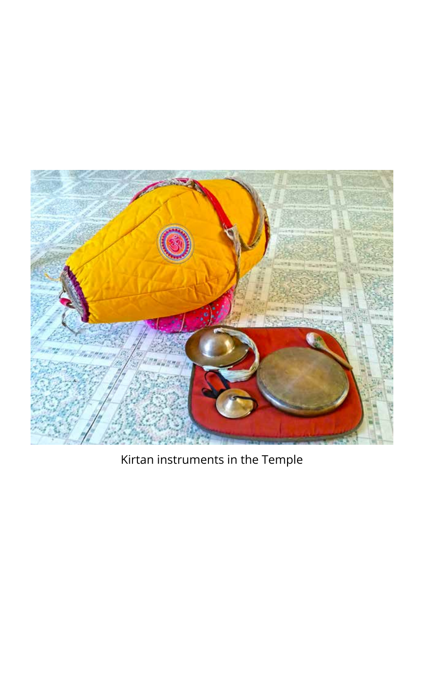

Kirtan instruments in the Temple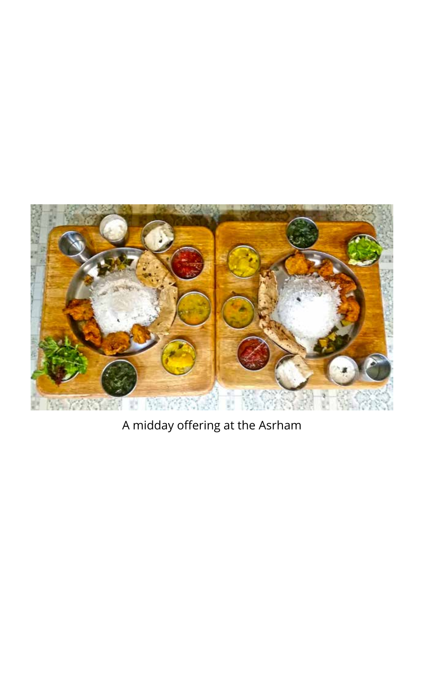

A midday offering at the Asrham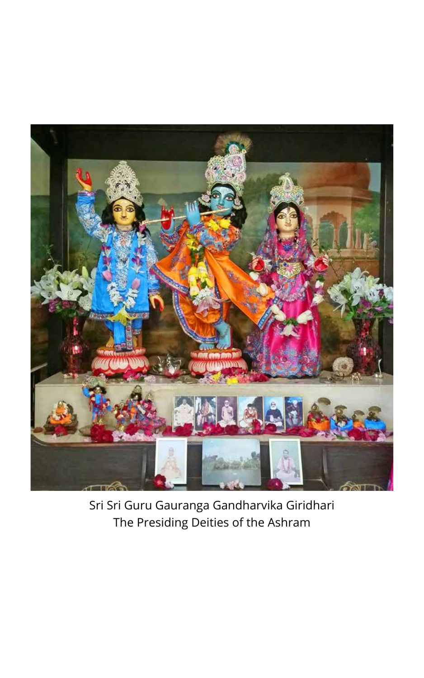

Sri Sri Guru Gauranga Gandharvika Giridhari The Presiding Deities of the Ashram